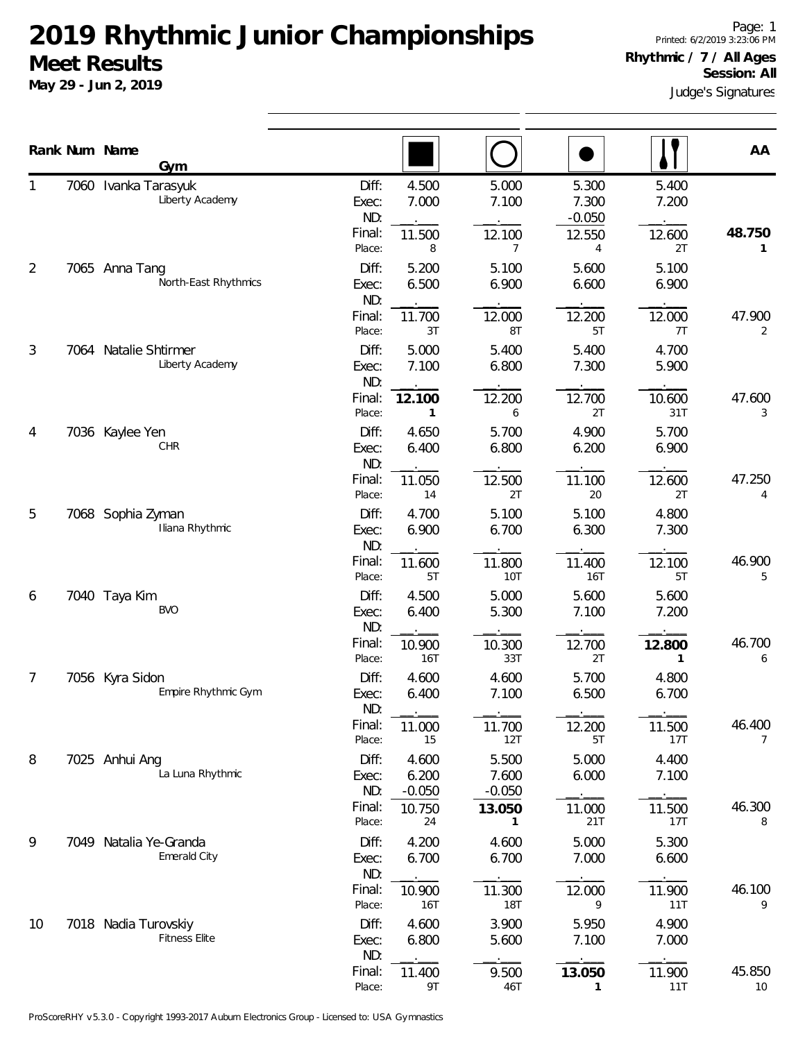**May 29 - Jun 2, 2019**

Judge's Signatures

|    |      | Rank Num Name<br>Gym                         |                                           |                                      |                                      |                                           |                                | AA                       |
|----|------|----------------------------------------------|-------------------------------------------|--------------------------------------|--------------------------------------|-------------------------------------------|--------------------------------|--------------------------|
|    |      | 7060 Ivanka Tarasyuk<br>Liberty Academy      | Diff:<br>Exec:<br>ND:<br>Final:<br>Place: | 4.500<br>7.000<br>11.500<br>8        | 5.000<br>7.100<br>12.100<br>7        | 5.300<br>7.300<br>$-0.050$<br>12.550<br>4 | 5.400<br>7.200<br>12.600<br>2T | 48.750<br>1              |
| 2  |      | 7065 Anna Tang<br>North-East Rhythmics       | Diff:<br>Exec:<br>ND:<br>Final:           | 5.200<br>6.500                       | 5.100<br>6.900                       | 5.600<br>6.600                            | 5.100<br>6.900                 |                          |
| 3  | 7064 | Natalie Shtirmer<br>Liberty Academy          | Place:<br>Diff:<br>Exec:                  | 11.700<br>3T<br>5.000<br>7.100       | 12.000<br>8T<br>5.400<br>6.800       | 12.200<br>5T<br>5.400<br>7.300            | 12.000<br>7T<br>4.700<br>5.900 | 47.900<br>2              |
| 4  |      | 7036 Kaylee Yen                              | ND:<br>Final:<br>Place:<br>Diff:          | 12.100<br>1<br>4.650                 | 12.200<br>6<br>5.700                 | 12.700<br>2T<br>4.900                     | 10.600<br>31T<br>5.700         | 47.600<br>3              |
|    |      | CHR                                          | Exec:<br>ND:<br>Final:<br>Place:          | 6.400<br>11.050<br>14                | 6.800<br>12.500<br>2T                | 6.200<br>11.100<br>20                     | 6.900<br>12.600<br>2T          | 47.250<br>4              |
| 5  |      | 7068 Sophia Zyman<br>Iliana Rhythmic         | Diff:<br>Exec:<br>ND:<br>Final:           | 4.700<br>6.900<br>11.600             | 5.100<br>6.700                       | 5.100<br>6.300                            | 4.800<br>7.300<br>12.100       | 46.900                   |
| 6  |      | 7040 Taya Kim<br><b>BVO</b>                  | Place:<br>Diff:<br>Exec:<br>ND:           | 5T<br>4.500<br>6.400                 | 11.800<br>10T<br>5.000<br>5.300      | 11.400<br>16T<br>5.600<br>7.100           | 5T<br>5.600<br>7.200           | 5                        |
| 7  |      | 7056 Kyra Sidon<br>Empire Rhythmic Gym       | Final:<br>Place:<br>Diff:<br>Exec:        | 10.900<br>16T<br>4.600<br>6.400      | 10.300<br>33T<br>4.600<br>7.100      | 12.700<br>2T<br>5.700<br>6.500            | 12.800<br>1<br>4.800<br>6.700  | 46.700<br>6              |
|    |      |                                              | ND:<br>Final:<br>Place:                   | 11.000<br>15                         | 11.700<br>12T                        | 12.200<br>5T                              | 11.500<br>17T                  | 46.400<br>$\overline{7}$ |
| 8  |      | 7025 Anhui Ang<br>La Luna Rhythmic           | Diff:<br>Exec:<br>ND:<br>Final:           | 4.600<br>6.200<br>$-0.050$<br>10.750 | 5.500<br>7.600<br>$-0.050$<br>13.050 | 5.000<br>6.000<br>11.000                  | 4.400<br>7.100<br>11.500       | 46.300                   |
| 9  |      | 7049 Natalia Ye-Granda<br>Emerald City       | Place:<br>Diff:<br>Exec:<br>ND:           | 24<br>4.200<br>6.700                 | 1<br>4.600<br>6.700                  | 21T<br>5.000<br>7.000                     | 17T<br>5.300<br>6.600          | 8                        |
| 10 |      | 7018 Nadia Turovskiy<br><b>Fitness Elite</b> | Final:<br>Place:<br>Diff:                 | 10.900<br>16T<br>4.600               | 11.300<br><b>18T</b><br>3.900        | 12.000<br>9<br>5.950                      | 11.900<br>11T<br>4.900         | 46.100<br>9              |
|    |      |                                              | Exec:<br>ND:<br>Final:<br>Place:          | 6.800<br>11.400<br>9T                | 5.600<br>9.500<br>46T                | 7.100<br>13.050<br>1                      | 7.000<br>11.900<br>11T         | 45.850<br>10             |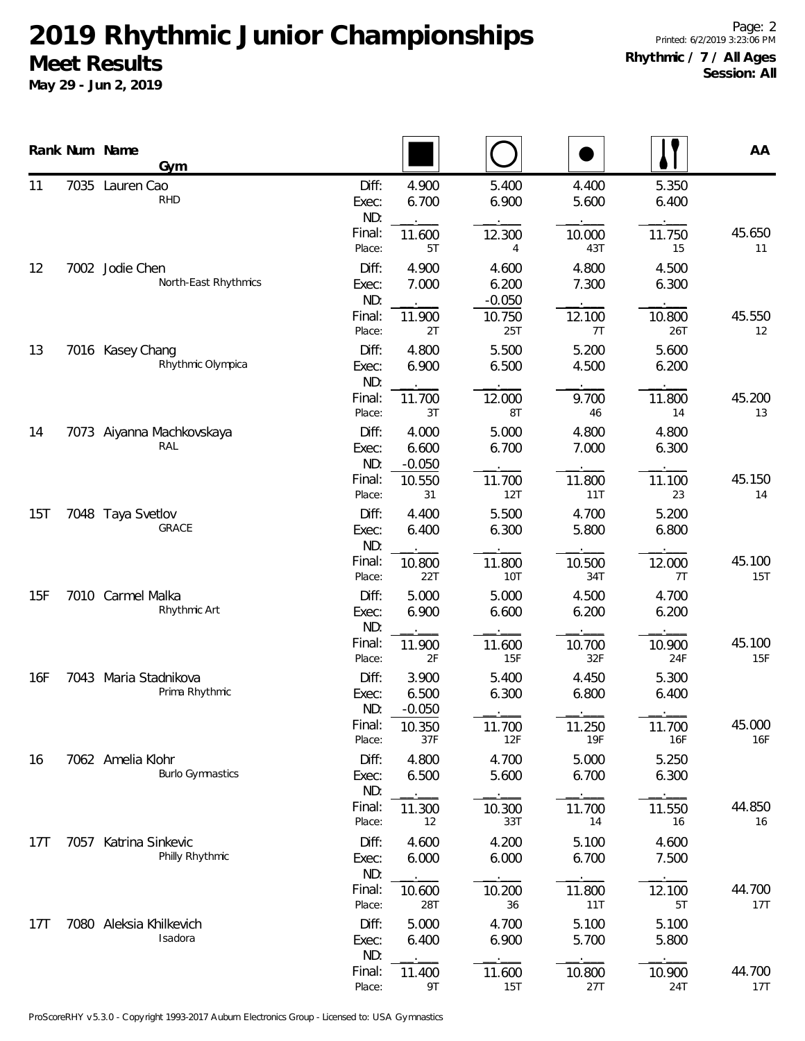|                 | Rank Num Name<br>Gym                         |                       |                            |                            |                |                | AA            |
|-----------------|----------------------------------------------|-----------------------|----------------------------|----------------------------|----------------|----------------|---------------|
| 11              | 7035 Lauren Cao<br><b>RHD</b>                | Diff:<br>Exec:<br>ND: | 4.900<br>6.700             | 5.400<br>6.900             | 4.400<br>5.600 | 5.350<br>6.400 |               |
|                 |                                              | Final:<br>Place:      | 11.600<br>5T               | 12.300<br>4                | 10.000<br>43T  | 11.750<br>15   | 45.650<br>11  |
| 12              | 7002 Jodie Chen<br>North-East Rhythmics      | Diff:<br>Exec:<br>ND: | 4.900<br>7.000             | 4.600<br>6.200<br>$-0.050$ | 4.800<br>7.300 | 4.500<br>6.300 |               |
|                 |                                              | Final:<br>Place:      | 11.900<br>2T               | 10.750<br>25T              | 12.100<br>7T   | 10.800<br>26T  | 45.550<br>12  |
| 13              | 7016 Kasey Chang<br>Rhythmic Olympica        | Diff:<br>Exec:<br>ND: | 4.800<br>6.900             | 5.500<br>6.500             | 5.200<br>4.500 | 5.600<br>6.200 |               |
|                 |                                              | Final:<br>Place:      | 11.700<br>3T               | 12.000<br>8T               | 9.700<br>46    | 11.800<br>14   | 45.200<br>13  |
| 14              | 7073 Aiyanna Machkovskaya<br>RAL             | Diff:<br>Exec:<br>ND: | 4.000<br>6.600<br>$-0.050$ | 5.000<br>6.700             | 4.800<br>7.000 | 4.800<br>6.300 |               |
|                 |                                              | Final:<br>Place:      | 10.550<br>31               | 11.700<br>12T              | 11.800<br>11T  | 11.100<br>23   | 45.150<br>14  |
| 15T             | 7048 Taya Svetlov<br>GRACE                   | Diff:<br>Exec:<br>ND: | 4.400<br>6.400             | 5.500<br>6.300             | 4.700<br>5.800 | 5.200<br>6.800 |               |
|                 |                                              | Final:<br>Place:      | 10.800<br>22T              | 11.800<br>10T              | 10.500<br>34T  | 12.000<br>7T   | 45.100<br>15T |
| 15F             | 7010 Carmel Malka<br>Rhythmic Art            | Diff:<br>Exec:<br>ND: | 5.000<br>6.900             | 5.000<br>6.600             | 4.500<br>6.200 | 4.700<br>6.200 |               |
|                 |                                              | Final:<br>Place:      | 11.900<br>2F               | 11.600<br>15F              | 10.700<br>32F  | 10.900<br>24F  | 45.100<br>15F |
| 16F             | 7043 Maria Stadnikova<br>Prima Rhythmic      | Diff:<br>Exec:<br>ND: | 3.900<br>6.500<br>$-0.050$ | 5.400<br>6.300             | 4.450<br>6.800 | 5.300<br>6.400 |               |
|                 |                                              | Final:<br>Place:      | 10.350<br>37F              | 11.700<br>12F              | 11.250<br>19F  | 11.700<br>16F  | 45.000<br>16F |
| 16              | 7062 Amelia Klohr<br><b>Burlo Gymnastics</b> | Diff:<br>Exec:<br>ND: | 4.800<br>6.500             | 4.700<br>5.600             | 5.000<br>6.700 | 5.250<br>6.300 |               |
|                 |                                              | Final:<br>Place:      | 11.300<br>12               | 10.300<br>33T              | 11.700<br>14   | 11.550<br>16   | 44.850<br>16  |
| 17 <sub>T</sub> | 7057 Katrina Sinkevic<br>Philly Rhythmic     | Diff:<br>Exec:<br>ND: | 4.600<br>6.000             | 4.200<br>6.000             | 5.100<br>6.700 | 4.600<br>7.500 |               |
|                 |                                              | Final:<br>Place:      | 10.600<br>28T              | 10.200<br>36               | 11.800<br>11T  | 12.100<br>5T   | 44.700<br>17T |
| 17 <sub>T</sub> | 7080 Aleksia Khilkevich<br>Isadora           | Diff:<br>Exec:<br>ND: | 5.000<br>6.400             | 4.700<br>6.900             | 5.100<br>5.700 | 5.100<br>5.800 |               |
|                 |                                              | Final:<br>Place:      | 11.400<br>9T               | 11.600<br>15T              | 10.800<br>27T  | 10.900<br>24T  | 44.700<br>17T |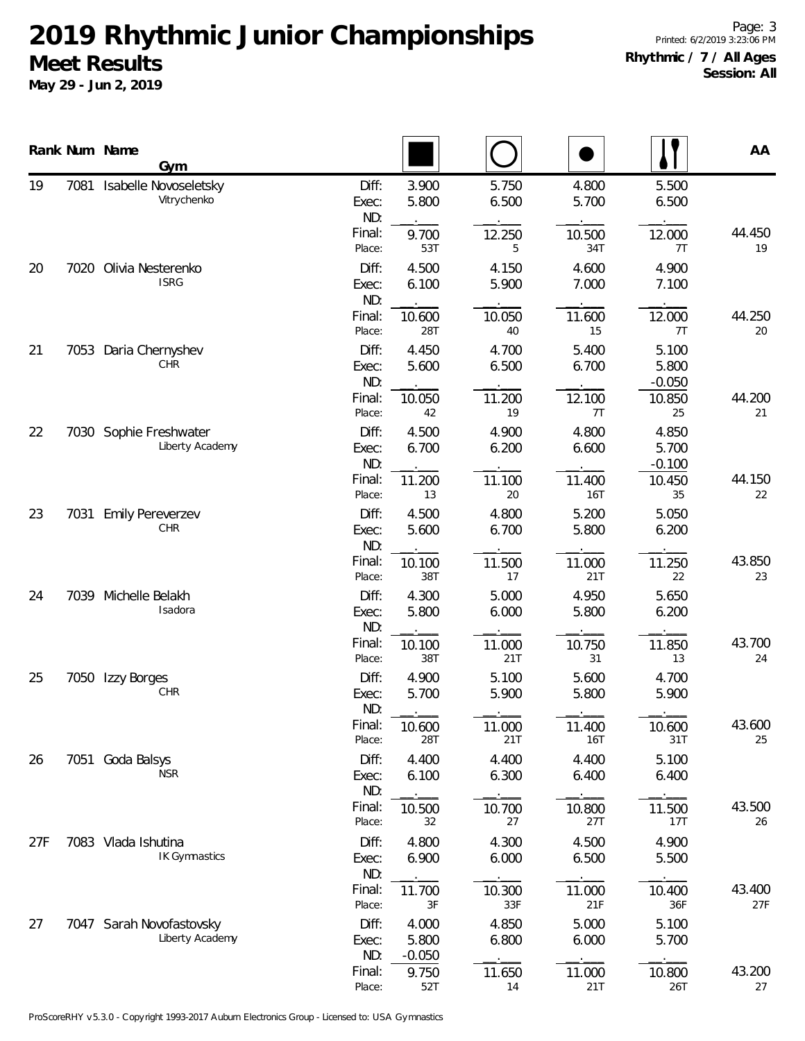|     |      | Rank Num Name<br>Gym                        |                       |                            |                      |                |                            | AA            |
|-----|------|---------------------------------------------|-----------------------|----------------------------|----------------------|----------------|----------------------------|---------------|
| 19  | 7081 | Isabelle Novoseletsky<br>Vitrychenko        | Diff:<br>Exec:<br>ND: | 3.900<br>5.800             | 5.750<br>6.500       | 4.800<br>5.700 | 5.500<br>6.500             |               |
|     |      |                                             | Final:<br>Place:      | 9.700<br>53T               | 12.250<br>5          | 10.500<br>34T  | 12.000<br>7T               | 44.450<br>19  |
| 20  | 7020 | Olivia Nesterenko<br><b>ISRG</b>            | Diff:<br>Exec:<br>ND: | 4.500<br>6.100             | 4.150<br>5.900       | 4.600<br>7.000 | 4.900<br>7.100             |               |
|     |      |                                             | Final:<br>Place:      | 10.600<br><b>28T</b>       | 10.050<br>40         | 11.600<br>15   | 12.000<br>7T               | 44.250<br>20  |
| 21  | 7053 | Daria Chernyshev<br><b>CHR</b>              | Diff:<br>Exec:<br>ND: | 4.450<br>5.600             | 4.700<br>6.500       | 5.400<br>6.700 | 5.100<br>5.800<br>$-0.050$ |               |
|     |      |                                             | Final:<br>Place:      | 10.050<br>42               | 11.200<br>19         | 12.100<br>7T   | 10.850<br>25               | 44.200<br>21  |
| 22  |      | 7030 Sophie Freshwater<br>Liberty Academy   | Diff:<br>Exec:<br>ND: | 4.500<br>6.700             | 4.900<br>6.200       | 4.800<br>6.600 | 4.850<br>5.700<br>$-0.100$ |               |
|     |      | Final:<br>Place:                            | 11.200<br>13          | 11.100<br>20               | 11.400<br><b>16T</b> | 10.450<br>35   | 44.150<br>22               |               |
| 23  | 7031 | <b>Emily Pereverzev</b><br>CHR              | Diff:<br>Exec:<br>ND: | 4.500<br>5.600             | 4.800<br>6.700       | 5.200<br>5.800 | 5.050<br>6.200             |               |
|     |      |                                             | Final:<br>Place:      | 10.100<br>38T              | 11.500<br>17         | 11.000<br>21T  | 11.250<br>22               | 43.850<br>23  |
| 24  | 7039 | Michelle Belakh<br>Isadora                  | Diff:<br>Exec:<br>ND: | 4.300<br>5.800             | 5.000<br>6.000       | 4.950<br>5.800 | 5.650<br>6.200             |               |
|     |      |                                             | Final:<br>Place:      | 10.100<br>38T              | 11.000<br>21T        | 10.750<br>31   | 11.850<br>13               | 43.700<br>24  |
| 25  | 7050 | Izzy Borges<br>CHR                          | Diff:<br>Exec:<br>ND: | 4.900<br>5.700             | 5.100<br>5.900       | 5.600<br>5.800 | 4.700<br>5.900             |               |
|     |      |                                             | Final:<br>Place:      | 10.600<br>28T              | 11.000<br>21T        | 11.400<br>16T  | 10.600<br>31T              | 43.600<br>25  |
| 26  |      | 7051 Goda Balsys<br><b>NSR</b>              | Diff:<br>Exec:<br>ND: | 4.400<br>6.100             | 4.400<br>6.300       | 4.400<br>6.400 | 5.100<br>6.400             |               |
|     |      |                                             | Final:<br>Place:      | 10.500<br>32               | 10.700<br>27         | 10.800<br>27T  | 11.500<br>17T              | 43.500<br>26  |
| 27F |      | 7083 Vlada Ishutina<br><b>IK Gymnastics</b> | Diff:<br>Exec:<br>ND: | 4.800<br>6.900             | 4.300<br>6.000       | 4.500<br>6.500 | 4.900<br>5.500             |               |
|     |      |                                             | Final:<br>Place:      | 11.700<br>3F               | 10.300<br>33F        | 11.000<br>21F  | 10.400<br>36F              | 43.400<br>27F |
| 27  |      | 7047 Sarah Novofastovsky<br>Liberty Academy | Diff:<br>Exec:<br>ND: | 4.000<br>5.800<br>$-0.050$ | 4.850<br>6.800       | 5.000<br>6.000 | 5.100<br>5.700             |               |
|     |      |                                             | Final:<br>Place:      | 9.750<br>52T               | 11.650<br>14         | 11.000<br>21T  | 10.800<br>26T              | 43.200<br>27  |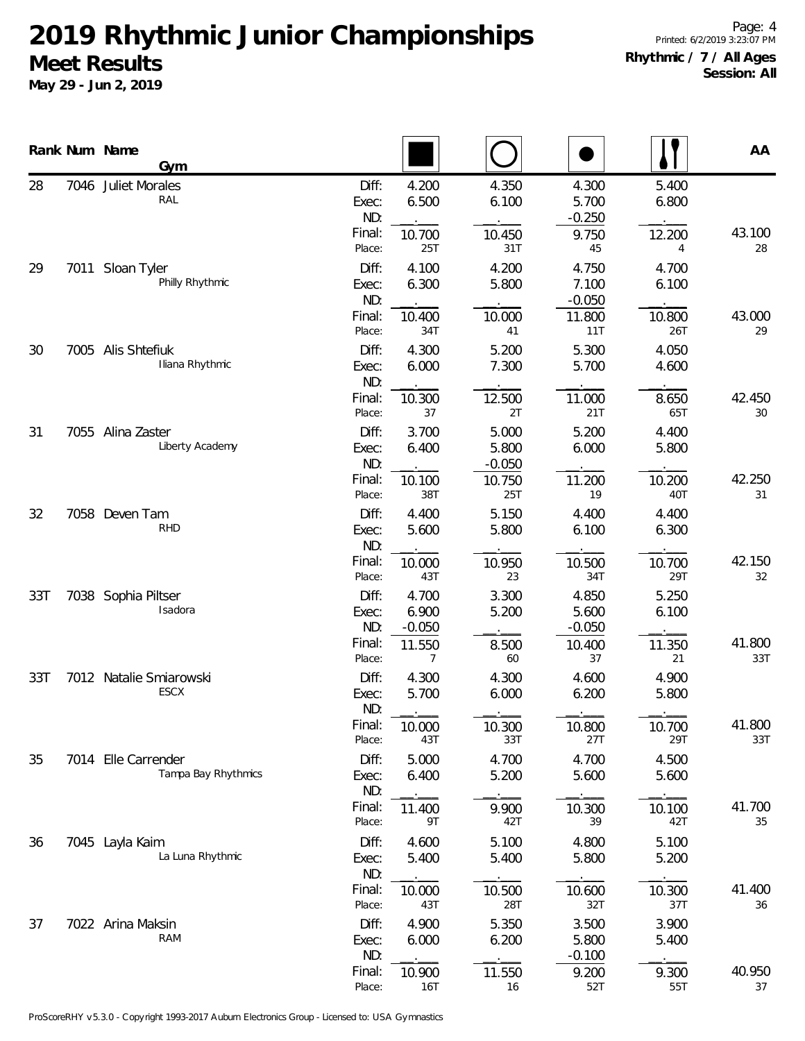|     |      | Rank Num Name<br>Gym                  |                                           |                                             |                                    |                                             |                                 | AA            |
|-----|------|---------------------------------------|-------------------------------------------|---------------------------------------------|------------------------------------|---------------------------------------------|---------------------------------|---------------|
| 28  | 7046 | <b>Juliet Morales</b><br>RAL          | Diff:<br>Exec:<br>ND:<br>Final:           | 4.200<br>6.500<br>10.700                    | 4.350<br>6.100<br>10.450           | 4.300<br>5.700<br>$-0.250$<br>9.750         | 5.400<br>6.800<br>12.200        | 43.100        |
| 29  |      | 7011 Sloan Tyler<br>Philly Rhythmic   | Place:<br>Diff:<br>Exec:<br>ND:           | 25T<br>4.100<br>6.300                       | 31T<br>4.200<br>5.800              | 45<br>4.750<br>7.100<br>$-0.050$            | 4<br>4.700<br>6.100             | 28            |
| 30  |      | 7005 Alis Shtefiuk<br>Iliana Rhythmic | Final:<br>Place:<br>Diff:<br>Exec:        | 10.400<br>34T<br>4.300<br>6.000             | 10.000<br>41<br>5.200<br>7.300     | 11.800<br>11T<br>5.300<br>5.700             | 10.800<br>26T<br>4.050<br>4.600 | 43.000<br>29  |
| 31  |      | 7055 Alina Zaster                     | ND:<br>Final:<br>Place:<br>Diff:          | 10.300<br>37<br>3.700                       | 12.500<br>2T<br>5.000              | 11.000<br>21T<br>5.200                      | 8.650<br>65T<br>4.400           | 42.450<br>30  |
|     |      | Liberty Academy                       | Exec:<br>ND:<br>Final:<br>Place:          | 6.400<br>10.100<br>38T                      | 5.800<br>$-0.050$<br>10.750<br>25T | 6.000<br>11.200<br>19                       | 5.800<br>10.200<br>40T          | 42.250<br>31  |
| 32  |      | 7058 Deven Tam<br><b>RHD</b>          | Diff:<br>Exec:<br>ND:<br>Final:           | 4.400<br>5.600<br>10.000                    | 5.150<br>5.800<br>10.950           | 4.400<br>6.100<br>10.500                    | 4.400<br>6.300<br>10.700        | 42.150        |
| 33T |      | 7038 Sophia Piltser<br>Isadora        | Place:<br>Diff:<br>Exec:<br>ND:<br>Final: | 43T<br>4.700<br>6.900<br>$-0.050$<br>11.550 | 23<br>3.300<br>5.200<br>8.500      | 34T<br>4.850<br>5.600<br>$-0.050$<br>10.400 | 29T<br>5.250<br>6.100<br>11.350 | 32<br>41.800  |
| 33T |      | 7012 Natalie Smiarowski<br>ESCX       | Place:<br>Diff:<br>Exec:                  | 7<br>4.300<br>5.700                         | 60<br>4.300<br>6.000               | 37<br>4.600<br>6.200                        | 21<br>4.900<br>5.800            | 33T           |
| 35  |      | 7014 Elle Carrender                   | ND:<br>Final:<br>Place:<br>Diff:          | 10.000<br>43T<br>5.000                      | 10.300<br>33T<br>4.700             | 10.800<br>27T<br>4.700                      | 10.700<br>29T<br>4.500          | 41.800<br>33T |
|     |      | Tampa Bay Rhythmics                   | Exec:<br>ND:<br>Final:<br>Place:          | 6.400<br>11.400<br>9T                       | 5.200<br>9.900<br>42T              | 5.600<br>10.300<br>39                       | 5.600<br>10.100<br>42T          | 41.700<br>35  |
| 36  |      | 7045 Layla Kaim<br>La Luna Rhythmic   | Diff:<br>Exec:<br>ND:<br>Final:           | 4.600<br>5.400<br>10.000                    | 5.100<br>5.400<br>10.500           | 4.800<br>5.800<br>10.600                    | 5.100<br>5.200<br>10.300        | 41.400        |
| 37  |      | 7022 Arina Maksin<br><b>RAM</b>       | Place:<br>Diff:<br>Exec:<br>ND:           | 43T<br>4.900<br>6.000                       | 28T<br>5.350<br>6.200              | 32T<br>3.500<br>5.800<br>$-0.100$           | 37T<br>3.900<br>5.400           | 36            |
|     |      |                                       | Final:<br>Place:                          | 10.900<br><b>16T</b>                        | 11.550<br>16                       | 9.200<br>52T                                | 9.300<br>55T                    | 40.950<br>37  |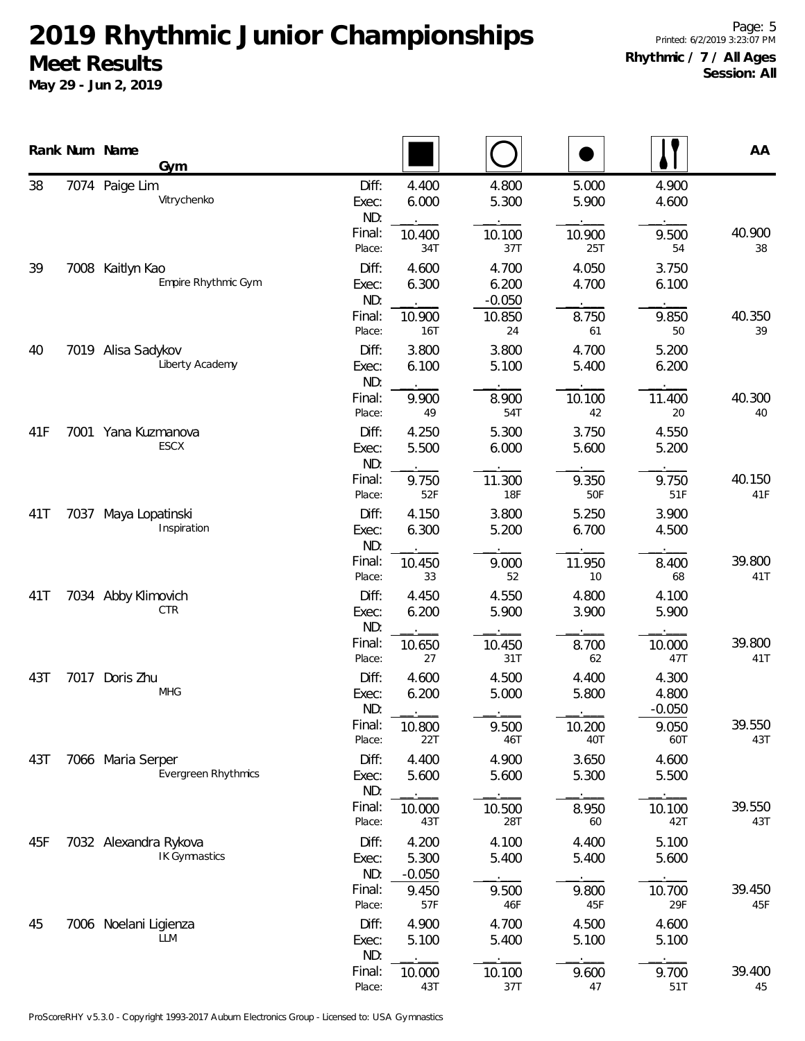|     |      | Rank Num Name<br>Gym                     |                       |                            |                            |                |                            | AA            |
|-----|------|------------------------------------------|-----------------------|----------------------------|----------------------------|----------------|----------------------------|---------------|
| 38  |      | 7074 Paige Lim<br>Vitrychenko            | Diff:<br>Exec:<br>ND: | 4.400<br>6.000             | 4.800<br>5.300             | 5.000<br>5.900 | 4.900<br>4.600             |               |
|     |      |                                          | Final:<br>Place:      | 10.400<br>34T              | 10.100<br>37T              | 10.900<br>25T  | 9.500<br>54                | 40.900<br>38  |
| 39  |      | 7008 Kaitlyn Kao<br>Empire Rhythmic Gym  | Diff:<br>Exec:<br>ND: | 4.600<br>6.300             | 4.700<br>6.200<br>$-0.050$ | 4.050<br>4.700 | 3.750<br>6.100             |               |
|     |      |                                          | Final:<br>Place:      | 10.900<br>16T              | 10.850<br>24               | 8.750<br>61    | 9.850<br>50                | 40.350<br>39  |
| 40  |      | 7019 Alisa Sadykov<br>Liberty Academy    | Diff:<br>Exec:<br>ND: | 3.800<br>6.100             | 3.800<br>5.100             | 4.700<br>5.400 | 5.200<br>6.200             |               |
|     |      |                                          | Final:<br>Place:      | 9.900<br>49                | 8.900<br>54T               | 10.100<br>42   | 11.400<br>20               | 40.300<br>40  |
| 41F |      | 7001 Yana Kuzmanova<br>ESCX              | Diff:<br>Exec:<br>ND: | 4.250<br>5.500             | 5.300<br>6.000             | 3.750<br>5.600 | 4.550<br>5.200             |               |
|     |      |                                          | Final:<br>Place:      | 9.750<br>52F               | 11.300<br><b>18F</b>       | 9.350<br>50F   | 9.750<br>51F               | 40.150<br>41F |
| 41T | 7037 | Maya Lopatinski<br>Inspiration           | Diff:<br>Exec:<br>ND: | 4.150<br>6.300             | 3.800<br>5.200             | 5.250<br>6.700 | 3.900<br>4.500             |               |
|     |      |                                          | Final:<br>Place:      | 10.450<br>33               | 9.000<br>52                | 11.950<br>10   | 8.400<br>68                | 39.800<br>41T |
| 41T |      | 7034 Abby Klimovich<br>CTR               | Diff:<br>Exec:<br>ND: | 4.450<br>6.200             | 4.550<br>5.900             | 4.800<br>3.900 | 4.100<br>5.900             |               |
|     |      |                                          | Final:<br>Place:      | 10.650<br>27               | 10.450<br>31T              | 8.700<br>62    | 10.000<br>47T              | 39.800<br>41T |
| 43T | 7017 | Doris Zhu<br><b>MHG</b>                  | Diff:<br>Exec:<br>ND: | 4.600<br>6.200             | 4.500<br>5.000             | 4.400<br>5.800 | 4.300<br>4.800<br>$-0.050$ |               |
|     |      |                                          | Final:<br>Place:      | 10.800<br>22T              | 9.500<br>46T               | 10.200<br>40T  | 9.050<br>60T               | 39.550<br>43T |
| 43T |      | 7066 Maria Serper<br>Evergreen Rhythmics | Diff:<br>Exec:<br>ND: | 4.400<br>5.600             | 4.900<br>5.600             | 3.650<br>5.300 | 4.600<br>5.500             |               |
|     |      |                                          | Final:<br>Place:      | 10.000<br>43T              | 10.500<br>28T              | 8.950<br>60    | 10.100<br>42T              | 39.550<br>43T |
| 45F |      | 7032 Alexandra Rykova<br>IK Gymnastics   | Diff:<br>Exec:<br>ND: | 4.200<br>5.300<br>$-0.050$ | 4.100<br>5.400             | 4.400<br>5.400 | 5.100<br>5.600             |               |
|     |      |                                          | Final:<br>Place:      | 9.450<br>57F               | 9.500<br>46F               | 9.800<br>45F   | 10.700<br>29F              | 39.450<br>45F |
| 45  |      | 7006 Noelani Ligienza<br>LLM             | Diff:<br>Exec:<br>ND: | 4.900<br>5.100             | 4.700<br>5.400             | 4.500<br>5.100 | 4.600<br>5.100             |               |
|     |      |                                          | Final:<br>Place:      | 10.000<br>43T              | 10.100<br>37T              | 9.600<br>47    | 9.700<br>51T               | 39.400<br>45  |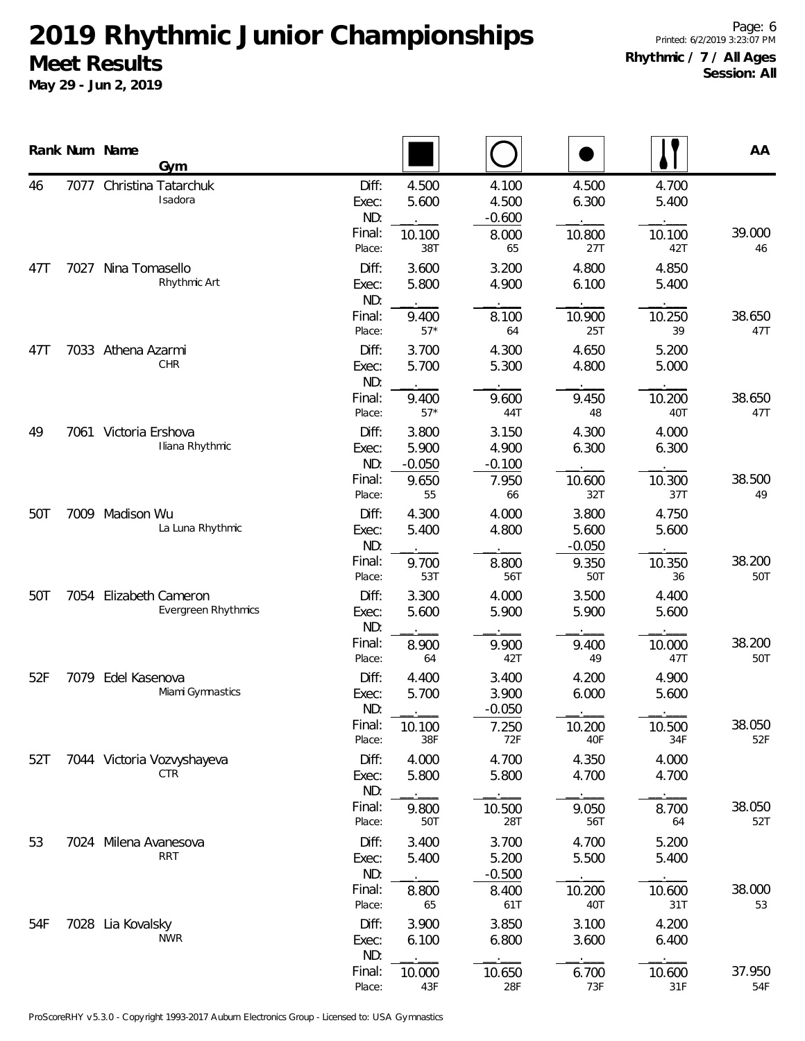|     |      | Rank Num Name                                          | Gym                               |                       |                            |                            |                            |                | AA            |
|-----|------|--------------------------------------------------------|-----------------------------------|-----------------------|----------------------------|----------------------------|----------------------------|----------------|---------------|
| 46  | 7077 |                                                        | Christina Tatarchuk<br>Isadora    | Diff:<br>Exec:<br>ND: | 4.500<br>5.600             | 4.100<br>4.500<br>$-0.600$ | 4.500<br>6.300             | 4.700<br>5.400 |               |
|     |      |                                                        |                                   | Final:<br>Place:      | 10.100<br>38T              | 8.000<br>65                | 10.800<br>27T              | 10.100<br>42T  | 39.000<br>46  |
| 47T | 7027 | Nina Tomasello                                         | Rhythmic Art                      | Diff:<br>Exec:<br>ND: | 3.600<br>5.800             | 3.200<br>4.900             | 4.800<br>6.100             | 4.850<br>5.400 |               |
|     |      |                                                        |                                   | Final:<br>Place:      | 9.400<br>$57*$             | 8.100<br>64                | 10.900<br>25T              | 10.250<br>39   | 38.650<br>47T |
| 47T |      | 7033 Athena Azarmi                                     | CHR                               | Diff:<br>Exec:<br>ND: | 3.700<br>5.700             | 4.300<br>5.300             | 4.650<br>4.800             | 5.200<br>5.000 |               |
|     |      |                                                        |                                   | Final:<br>Place:      | 9.400<br>$57*$             | 9.600<br>44T               | 9.450<br>48                | 10.200<br>40T  | 38.650<br>47T |
| 49  |      | 7061 Victoria Ershova                                  | Iliana Rhythmic                   | Diff:<br>Exec:<br>ND: | 3.800<br>5.900<br>$-0.050$ | 3.150<br>4.900<br>$-0.100$ | 4.300<br>6.300             | 4.000<br>6.300 |               |
|     |      |                                                        |                                   | Final:<br>Place:      | 9.650<br>55                | 7.950<br>66                | 10.600<br>32T              | 10.300<br>37T  | 38.500<br>49  |
| 50T | 7009 | Madison Wu                                             | La Luna Rhythmic                  | Diff:<br>Exec:<br>ND: | 4.300<br>5.400             | 4.000<br>4.800             | 3.800<br>5.600<br>$-0.050$ | 4.750<br>5.600 |               |
|     |      |                                                        |                                   | Final:<br>Place:      | 9.700<br>53T               | 8.800<br>56T               | 9.350<br>50T               | 10.350<br>36   | 38.200<br>50T |
| 50T | 7054 | <b>Elizabeth Cameron</b><br><b>Evergreen Rhythmics</b> | Diff:<br>Exec:<br>ND:             | 3.300<br>5.600        | 4.000<br>5.900             | 3.500<br>5.900             | 4.400<br>5.600             |                |               |
|     |      |                                                        |                                   | Final:<br>Place:      | 8.900<br>64                | 9.900<br>42T               | 9.400<br>49                | 10.000<br>47T  | 38.200<br>50T |
| 52F | 7079 | Edel Kasenova                                          | Miami Gymnastics                  | Diff:<br>Exec:<br>ND: | 4.400<br>5.700             | 3.400<br>3.900<br>$-0.050$ | 4.200<br>6.000             | 4.900<br>5.600 |               |
|     |      |                                                        |                                   | Final:<br>Place:      | 10.100<br>38F              | 7.250<br>72F               | 10.200<br>40F              | 10.500<br>34F  | 38.050<br>52F |
| 52T |      |                                                        | 7044 Victoria Vozvyshayeva<br>CTR | Diff:<br>Exec:<br>ND: | 4.000<br>5.800             | 4.700<br>5.800             | 4.350<br>4.700             | 4.000<br>4.700 |               |
|     |      |                                                        |                                   | Final:<br>Place:      | 9.800<br>50T               | 10.500<br>28T              | 9.050<br>56T               | 8.700<br>64    | 38.050<br>52T |
| 53  |      | 7024 Milena Avanesova                                  | <b>RRT</b>                        | Diff:<br>Exec:<br>ND: | 3.400<br>5.400             | 3.700<br>5.200<br>$-0.500$ | 4.700<br>5.500             | 5.200<br>5.400 |               |
|     |      |                                                        |                                   | Final:<br>Place:      | 8.800<br>65                | 8.400<br>61T               | 10.200<br>40T              | 10.600<br>31T  | 38.000<br>53  |
| 54F |      | 7028 Lia Kovalsky                                      | <b>NWR</b>                        | Diff:<br>Exec:<br>ND: | 3.900<br>6.100             | 3.850<br>6.800             | 3.100<br>3.600             | 4.200<br>6.400 |               |
|     |      |                                                        |                                   | Final:<br>Place:      | 10.000<br>43F              | 10.650<br>28F              | 6.700<br>73F               | 10.600<br>31F  | 37.950<br>54F |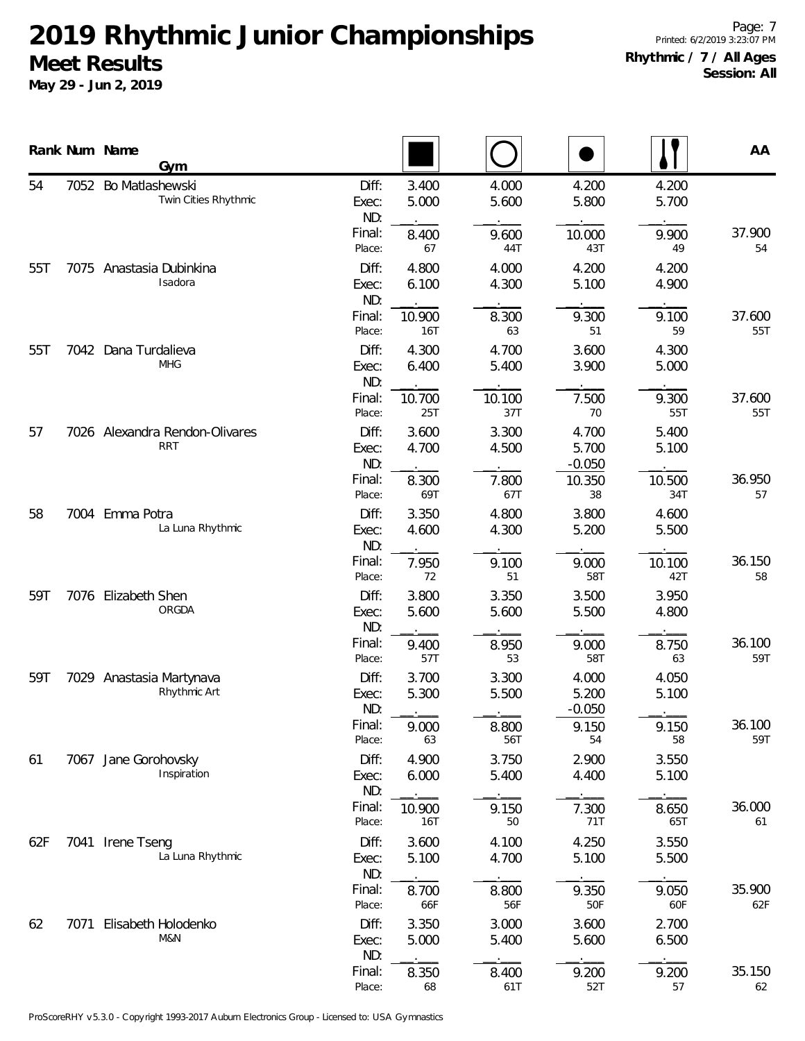|     |      | Rank Num Name<br>Gym                         |                       |                |                |                            |                | AA            |
|-----|------|----------------------------------------------|-----------------------|----------------|----------------|----------------------------|----------------|---------------|
| 54  | 7052 | Bo Matlashewski<br>Twin Cities Rhythmic      | Diff:<br>Exec:<br>ND: | 3.400<br>5.000 | 4.000<br>5.600 | 4.200<br>5.800             | 4.200<br>5.700 |               |
|     |      |                                              | Final:<br>Place:      | 8.400<br>67    | 9.600<br>44T   | 10.000<br>43T              | 9.900<br>49    | 37.900<br>54  |
| 55T | 7075 | Anastasia Dubinkina<br>Isadora               | Diff:<br>Exec:<br>ND: | 4.800<br>6.100 | 4.000<br>4.300 | 4.200<br>5.100             | 4.200<br>4.900 |               |
|     |      |                                              | Final:<br>Place:      | 10.900<br>16T  | 8.300<br>63    | 9.300<br>51                | 9.100<br>59    | 37.600<br>55T |
| 55T |      | 7042 Dana Turdalieva<br><b>MHG</b>           | Diff:<br>Exec:<br>ND: | 4.300<br>6.400 | 4.700<br>5.400 | 3.600<br>3.900             | 4.300<br>5.000 |               |
|     |      |                                              | Final:<br>Place:      | 10.700<br>25T  | 10.100<br>37T  | 7.500<br>70                | 9.300<br>55T   | 37.600<br>55T |
| 57  |      | 7026 Alexandra Rendon-Olivares<br><b>RRT</b> | Diff:<br>Exec:<br>ND: | 3.600<br>4.700 | 3.300<br>4.500 | 4.700<br>5.700<br>$-0.050$ | 5.400<br>5.100 |               |
|     |      |                                              | Final:<br>Place:      | 8.300<br>69T   | 7.800<br>67T   | 10.350<br>38               | 10.500<br>34T  | 36.950<br>57  |
| 58  |      | 7004 Emma Potra<br>La Luna Rhythmic          | Diff:<br>Exec:<br>ND: | 3.350<br>4.600 | 4.800<br>4.300 | 3.800<br>5.200             | 4.600<br>5.500 |               |
|     |      |                                              | Final:<br>Place:      | 7.950<br>72    | 9.100<br>51    | 9.000<br>58T               | 10.100<br>42T  | 36.150<br>58  |
| 59T |      | 7076 Elizabeth Shen<br>ORGDA                 | Diff:<br>Exec:<br>ND: | 3.800<br>5.600 | 3.350<br>5.600 | 3.500<br>5.500             | 3.950<br>4.800 |               |
|     |      |                                              | Final:<br>Place:      | 9.400<br>57T   | 8.950<br>53    | 9.000<br>58T               | 8.750<br>63    | 36.100<br>59T |
| 59T |      | 7029 Anastasia Martynava<br>Rhythmic Art     | Diff:<br>Exec:<br>ND: | 3.700<br>5.300 | 3.300<br>5.500 | 4.000<br>5.200<br>$-0.050$ | 4.050<br>5.100 |               |
|     |      |                                              | Final:<br>Place:      | 9.000<br>63    | 8.800<br>56T   | 9.150<br>54                | 9.150<br>58    | 36.100<br>59T |
| 61  |      | 7067 Jane Gorohovsky<br>Inspiration          | Diff:<br>Exec:<br>ND: | 4.900<br>6.000 | 3.750<br>5.400 | 2.900<br>4.400             | 3.550<br>5.100 |               |
|     |      |                                              | Final:<br>Place:      | 10.900<br>16T  | 9.150<br>50    | 7.300<br>71T               | 8.650<br>65T   | 36.000<br>61  |
| 62F |      | 7041 Irene Tseng<br>La Luna Rhythmic         | Diff:<br>Exec:<br>ND: | 3.600<br>5.100 | 4.100<br>4.700 | 4.250<br>5.100             | 3.550<br>5.500 |               |
|     |      |                                              | Final:<br>Place:      | 8.700<br>66F   | 8.800<br>56F   | 9.350<br>50F               | 9.050<br>60F   | 35.900<br>62F |
| 62  | 7071 | Elisabeth Holodenko<br>M&N                   | Diff:<br>Exec:<br>ND: | 3.350<br>5.000 | 3.000<br>5.400 | 3.600<br>5.600             | 2.700<br>6.500 |               |
|     |      |                                              | Final:<br>Place:      | 8.350<br>68    | 8.400<br>61T   | 9.200<br>52T               | 9.200<br>57    | 35.150<br>62  |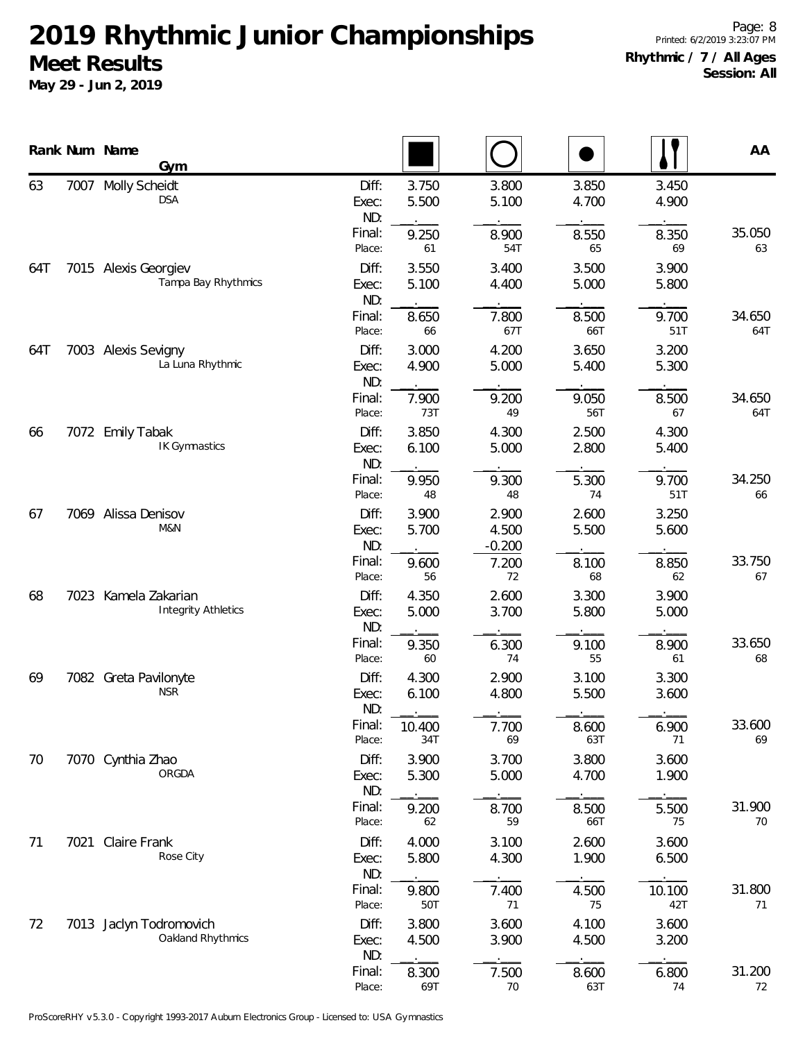|     |      | Rank Num Name<br>Gym                               |                       |                |                            |                |                | AA            |
|-----|------|----------------------------------------------------|-----------------------|----------------|----------------------------|----------------|----------------|---------------|
| 63  | 7007 | Molly Scheidt<br><b>DSA</b>                        | Diff:<br>Exec:<br>ND: | 3.750<br>5.500 | 3.800<br>5.100             | 3.850<br>4.700 | 3.450<br>4.900 |               |
|     |      |                                                    | Final:<br>Place:      | 9.250<br>61    | 8.900<br>54T               | 8.550<br>65    | 8.350<br>69    | 35.050<br>63  |
| 64T |      | 7015 Alexis Georgiev<br>Tampa Bay Rhythmics        | Diff:<br>Exec:<br>ND: | 3.550<br>5.100 | 3.400<br>4.400             | 3.500<br>5.000 | 3.900<br>5.800 |               |
|     |      |                                                    | Final:<br>Place:      | 8.650<br>66    | 7.800<br>67T               | 8.500<br>66T   | 9.700<br>51T   | 34.650<br>64T |
| 64T |      | 7003 Alexis Sevigny<br>La Luna Rhythmic            | Diff:<br>Exec:<br>ND: | 3.000<br>4.900 | 4.200<br>5.000             | 3.650<br>5.400 | 3.200<br>5.300 |               |
|     |      |                                                    | Final:<br>Place:      | 7.900<br>73T   | 9.200<br>49                | 9.050<br>56T   | 8.500<br>67    | 34.650<br>64T |
| 66  |      | 7072 Emily Tabak<br>IK Gymnastics                  | Diff:<br>Exec:<br>ND: | 3.850<br>6.100 | 4.300<br>5.000             | 2.500<br>2.800 | 4.300<br>5.400 |               |
|     |      |                                                    | Final:<br>Place:      | 9.950<br>48    | 9.300<br>48                | 5.300<br>74    | 9.700<br>51T   | 34.250<br>66  |
| 67  |      | 7069 Alissa Denisov<br>M&N                         | Diff:<br>Exec:<br>ND: | 3.900<br>5.700 | 2.900<br>4.500<br>$-0.200$ | 2.600<br>5.500 | 3.250<br>5.600 |               |
|     |      |                                                    | Final:<br>Place:      | 9.600<br>56    | 7.200<br>72                | 8.100<br>68    | 8.850<br>62    | 33.750<br>67  |
| 68  |      | 7023 Kamela Zakarian<br><b>Integrity Athletics</b> | Diff:<br>Exec:<br>ND: | 4.350<br>5.000 | 2.600<br>3.700             | 3.300<br>5.800 | 3.900<br>5.000 |               |
|     |      |                                                    | Final:<br>Place:      | 9.350<br>60    | 6.300<br>74                | 9.100<br>55    | 8.900<br>61    | 33.650<br>68  |
| 69  |      | 7082 Greta Pavilonyte<br><b>NSR</b>                | Diff:<br>Exec:<br>ND: | 4.300<br>6.100 | 2.900<br>4.800             | 3.100<br>5.500 | 3.300<br>3.600 |               |
|     |      |                                                    | Final:<br>Place:      | 10.400<br>34T  | 7.700<br>69                | 8.600<br>63T   | 6.900<br>71    | 33.600<br>69  |
| 70  |      | 7070 Cynthia Zhao<br>ORGDA                         | Diff:<br>Exec:<br>ND: | 3.900<br>5.300 | 3.700<br>5.000             | 3.800<br>4.700 | 3.600<br>1.900 |               |
|     |      |                                                    | Final:<br>Place:      | 9.200<br>62    | 8.700<br>59                | 8.500<br>66T   | 5.500<br>75    | 31.900<br>70  |
| 71  | 7021 | Claire Frank<br>Rose City                          | Diff:<br>Exec:<br>ND: | 4.000<br>5.800 | 3.100<br>4.300             | 2.600<br>1.900 | 3.600<br>6.500 |               |
|     |      |                                                    | Final:<br>Place:      | 9.800<br>50T   | 7.400<br>71                | 4.500<br>75    | 10.100<br>42T  | 31.800<br>71  |
| 72  |      | 7013 Jaclyn Todromovich<br>Oakland Rhythmics       | Diff:<br>Exec:<br>ND: | 3.800<br>4.500 | 3.600<br>3.900             | 4.100<br>4.500 | 3.600<br>3.200 |               |
|     |      |                                                    | Final:<br>Place:      | 8.300<br>69T   | 7.500<br>70                | 8.600<br>63T   | 6.800<br>74    | 31.200<br>72  |